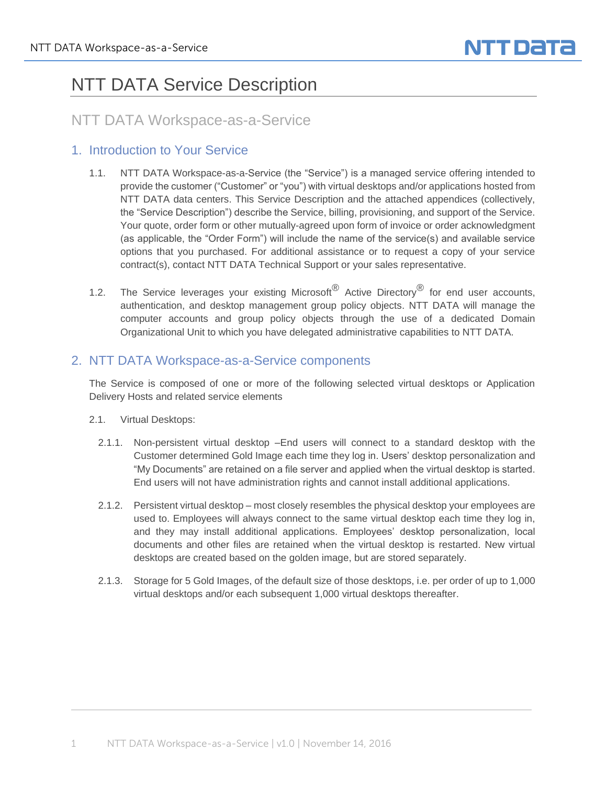# NTT DATA Service Description

# NTT DATA Workspace-as-a-Service

### 1. Introduction to Your Service

- 1.1. NTT DATA Workspace-as-a-Service (the "Service") is a managed service offering intended to provide the customer ("Customer" or "you") with virtual desktops and/or applications hosted from NTT DATA data centers. This Service Description and the attached appendices (collectively, the "Service Description") describe the Service, billing, provisioning, and support of the Service. Your quote, order form or other mutually-agreed upon form of invoice or order acknowledgment (as applicable, the "Order Form") will include the name of the service(s) and available service options that you purchased. For additional assistance or to request a copy of your service contract(s), contact NTT DATA Technical Support or your sales representative.
- 1.2. The Service leverages your existing Microsoft<sup>®</sup> Active Directory<sup>®</sup> for end user accounts, authentication, and desktop management group policy objects. NTT DATA will manage the computer accounts and group policy objects through the use of a dedicated Domain Organizational Unit to which you have delegated administrative capabilities to NTT DATA.

### 2. NTT DATA Workspace-as-a-Service components

The Service is composed of one or more of the following selected virtual desktops or Application Delivery Hosts and related service elements

- 2.1. Virtual Desktops:
	- 2.1.1. Non-persistent virtual desktop –End users will connect to a standard desktop with the Customer determined Gold Image each time they log in. Users' desktop personalization and "My Documents" are retained on a file server and applied when the virtual desktop is started. End users will not have administration rights and cannot install additional applications.
	- 2.1.2. Persistent virtual desktop most closely resembles the physical desktop your employees are used to. Employees will always connect to the same virtual desktop each time they log in, and they may install additional applications. Employees' desktop personalization, local documents and other files are retained when the virtual desktop is restarted. New virtual desktops are created based on the golden image, but are stored separately.
	- 2.1.3. Storage for 5 Gold Images, of the default size of those desktops, i.e. per order of up to 1,000 virtual desktops and/or each subsequent 1,000 virtual desktops thereafter.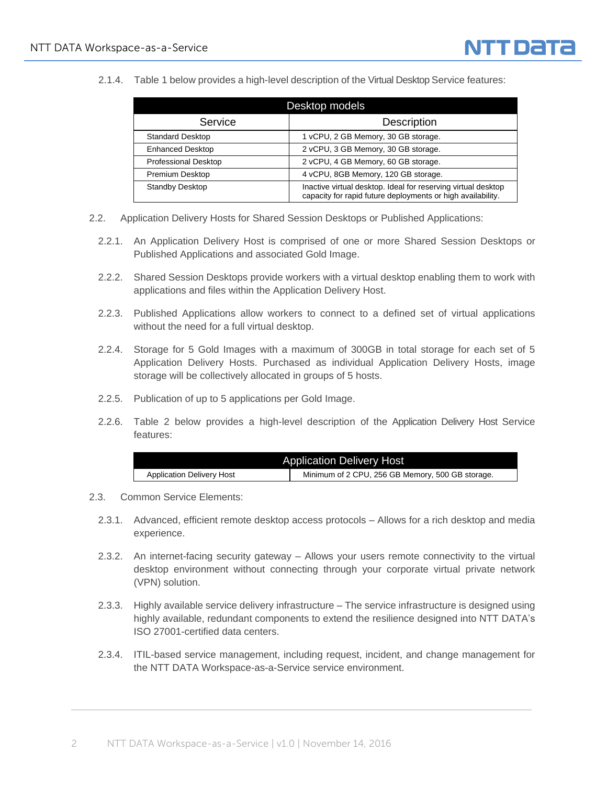2.1.4. Table 1 below provides a high-level description of the Virtual Desktop Service features:

| Desktop models              |                                                                                                                              |  |
|-----------------------------|------------------------------------------------------------------------------------------------------------------------------|--|
| Service                     | <b>Description</b>                                                                                                           |  |
| <b>Standard Desktop</b>     | 1 vCPU, 2 GB Memory, 30 GB storage.                                                                                          |  |
| <b>Enhanced Desktop</b>     | 2 vCPU, 3 GB Memory, 30 GB storage.                                                                                          |  |
| <b>Professional Desktop</b> | 2 vCPU, 4 GB Memory, 60 GB storage.                                                                                          |  |
| Premium Desktop             | 4 vCPU, 8GB Memory, 120 GB storage.                                                                                          |  |
| Standby Desktop             | Inactive virtual desktop. Ideal for reserving virtual desktop<br>capacity for rapid future deployments or high availability. |  |

- 2.2. Application Delivery Hosts for Shared Session Desktops or Published Applications:
	- 2.2.1. An Application Delivery Host is comprised of one or more Shared Session Desktops or Published Applications and associated Gold Image.
	- 2.2.2. Shared Session Desktops provide workers with a virtual desktop enabling them to work with applications and files within the Application Delivery Host.
	- 2.2.3. Published Applications allow workers to connect to a defined set of virtual applications without the need for a full virtual desktop.
	- 2.2.4. Storage for 5 Gold Images with a maximum of 300GB in total storage for each set of 5 Application Delivery Hosts. Purchased as individual Application Delivery Hosts, image storage will be collectively allocated in groups of 5 hosts.
	- 2.2.5. Publication of up to 5 applications per Gold Image.
	- 2.2.6. Table 2 below provides a high-level description of the Application Delivery Host Service features:

| <b>Application Delivery Host</b> |                                                  |  |
|----------------------------------|--------------------------------------------------|--|
| <b>Application Delivery Host</b> | Minimum of 2 CPU, 256 GB Memory, 500 GB storage. |  |

- 2.3. Common Service Elements:
	- 2.3.1. Advanced, efficient remote desktop access protocols Allows for a rich desktop and media experience.
	- 2.3.2. An internet-facing security gateway Allows your users remote connectivity to the virtual desktop environment without connecting through your corporate virtual private network (VPN) solution.
	- 2.3.3. Highly available service delivery infrastructure The service infrastructure is designed using highly available, redundant components to extend the resilience designed into NTT DATA's ISO 27001-certified data centers.
	- 2.3.4. ITIL-based service management, including request, incident, and change management for the NTT DATA Workspace-as-a-Service service environment.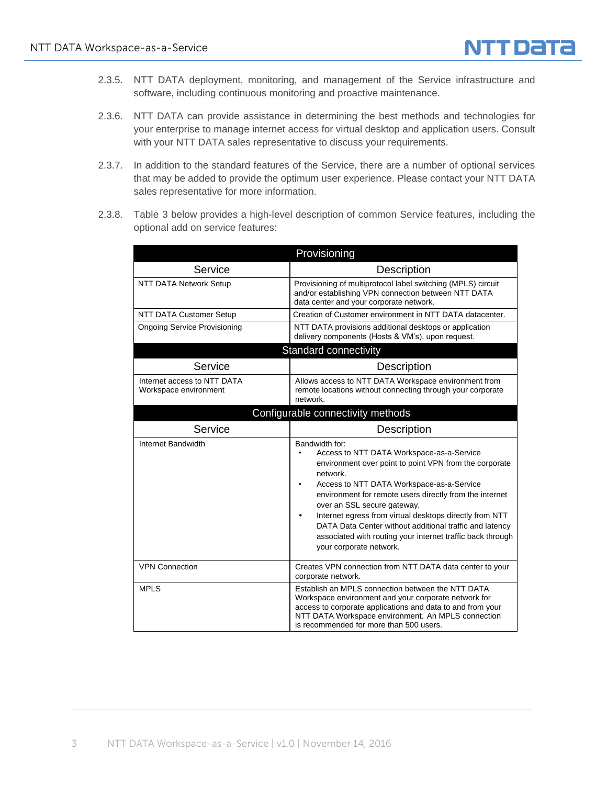

- 2.3.5. NTT DATA deployment, monitoring, and management of the Service infrastructure and software, including continuous monitoring and proactive maintenance.
- 2.3.6. NTT DATA can provide assistance in determining the best methods and technologies for your enterprise to manage internet access for virtual desktop and application users. Consult with your NTT DATA sales representative to discuss your requirements.
- 2.3.7. In addition to the standard features of the Service, there are a number of optional services that may be added to provide the optimum user experience. Please contact your NTT DATA sales representative for more information.
- 2.3.8. Table 3 below provides a high-level description of common Service features, including the optional add on service features:

|                                                      | Provisioning                                                                                                                                                                                                                                                                                                                                                                                                                                                                                                   |  |
|------------------------------------------------------|----------------------------------------------------------------------------------------------------------------------------------------------------------------------------------------------------------------------------------------------------------------------------------------------------------------------------------------------------------------------------------------------------------------------------------------------------------------------------------------------------------------|--|
| Service                                              | Description                                                                                                                                                                                                                                                                                                                                                                                                                                                                                                    |  |
| <b>NTT DATA Network Setup</b>                        | Provisioning of multiprotocol label switching (MPLS) circuit<br>and/or establishing VPN connection between NTT DATA<br>data center and your corporate network.                                                                                                                                                                                                                                                                                                                                                 |  |
| <b>NTT DATA Customer Setup</b>                       | Creation of Customer environment in NTT DATA datacenter.                                                                                                                                                                                                                                                                                                                                                                                                                                                       |  |
| <b>Ongoing Service Provisioning</b>                  | NTT DATA provisions additional desktops or application<br>delivery components (Hosts & VM's), upon request.                                                                                                                                                                                                                                                                                                                                                                                                    |  |
| Standard connectivity                                |                                                                                                                                                                                                                                                                                                                                                                                                                                                                                                                |  |
| Service                                              | Description                                                                                                                                                                                                                                                                                                                                                                                                                                                                                                    |  |
| Internet access to NTT DATA<br>Workspace environment | Allows access to NTT DATA Workspace environment from<br>remote locations without connecting through your corporate<br>network.                                                                                                                                                                                                                                                                                                                                                                                 |  |
|                                                      | Configurable connectivity methods                                                                                                                                                                                                                                                                                                                                                                                                                                                                              |  |
| Service                                              | Description                                                                                                                                                                                                                                                                                                                                                                                                                                                                                                    |  |
| Internet Bandwidth                                   | Bandwidth for:<br>Access to NTT DATA Workspace-as-a-Service<br>$\bullet$<br>environment over point to point VPN from the corporate<br>network.<br>Access to NTT DATA Workspace-as-a-Service<br>٠<br>environment for remote users directly from the internet<br>over an SSL secure gateway,<br>Internet egress from virtual desktops directly from NTT<br>٠<br>DATA Data Center without additional traffic and latency<br>associated with routing your internet traffic back through<br>your corporate network. |  |
| <b>VPN Connection</b>                                | Creates VPN connection from NTT DATA data center to your<br>corporate network.                                                                                                                                                                                                                                                                                                                                                                                                                                 |  |
| <b>MPLS</b>                                          | Establish an MPLS connection between the NTT DATA<br>Workspace environment and your corporate network for<br>access to corporate applications and data to and from your<br>NTT DATA Workspace environment. An MPLS connection<br>is recommended for more than 500 users.                                                                                                                                                                                                                                       |  |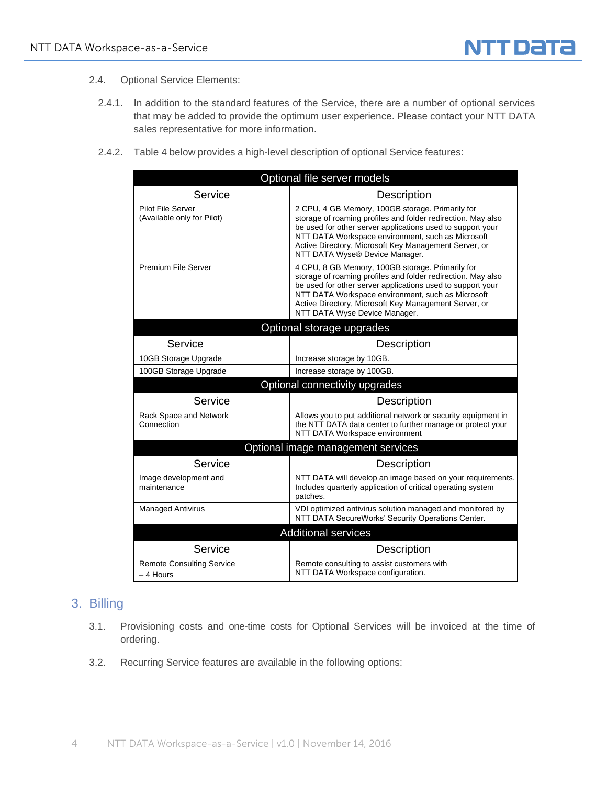- 2.4. Optional Service Elements:
	- 2.4.1. In addition to the standard features of the Service, there are a number of optional services that may be added to provide the optimum user experience. Please contact your NTT DATA sales representative for more information.
	- 2.4.2. Table 4 below provides a high-level description of optional Service features:

| Optional file server models                            |                                                                                                                                                                                                                                                                                                                                |  |
|--------------------------------------------------------|--------------------------------------------------------------------------------------------------------------------------------------------------------------------------------------------------------------------------------------------------------------------------------------------------------------------------------|--|
| Service                                                | Description                                                                                                                                                                                                                                                                                                                    |  |
| <b>Pilot File Server</b><br>(Available only for Pilot) | 2 CPU, 4 GB Memory, 100GB storage. Primarily for<br>storage of roaming profiles and folder redirection. May also<br>be used for other server applications used to support your<br>NTT DATA Workspace environment, such as Microsoft<br>Active Directory, Microsoft Key Management Server, or<br>NTT DATA Wyse® Device Manager. |  |
| Premium File Server                                    | 4 CPU, 8 GB Memory, 100GB storage. Primarily for<br>storage of roaming profiles and folder redirection. May also<br>be used for other server applications used to support your<br>NTT DATA Workspace environment, such as Microsoft<br>Active Directory, Microsoft Key Management Server, or<br>NTT DATA Wyse Device Manager.  |  |
| Optional storage upgrades                              |                                                                                                                                                                                                                                                                                                                                |  |
| Service                                                | Description                                                                                                                                                                                                                                                                                                                    |  |
| 10GB Storage Upgrade                                   | Increase storage by 10GB.                                                                                                                                                                                                                                                                                                      |  |
| 100GB Storage Upgrade                                  | Increase storage by 100GB.                                                                                                                                                                                                                                                                                                     |  |
|                                                        | Optional connectivity upgrades                                                                                                                                                                                                                                                                                                 |  |
| Service                                                | Description                                                                                                                                                                                                                                                                                                                    |  |
| Rack Space and Network<br>Connection                   | Allows you to put additional network or security equipment in<br>the NTT DATA data center to further manage or protect your<br>NTT DATA Workspace environment                                                                                                                                                                  |  |
| Optional image management services                     |                                                                                                                                                                                                                                                                                                                                |  |
| Service                                                | Description                                                                                                                                                                                                                                                                                                                    |  |
| Image development and<br>maintenance                   | NTT DATA will develop an image based on your requirements.<br>Includes quarterly application of critical operating system<br>patches.                                                                                                                                                                                          |  |
| <b>Managed Antivirus</b>                               | VDI optimized antivirus solution managed and monitored by<br>NTT DATA SecureWorks' Security Operations Center.                                                                                                                                                                                                                 |  |
|                                                        | <b>Additional services</b>                                                                                                                                                                                                                                                                                                     |  |
| Service                                                | Description                                                                                                                                                                                                                                                                                                                    |  |
| <b>Remote Consulting Service</b><br>– 4 Hours          | Remote consulting to assist customers with<br>NTT DATA Workspace configuration.                                                                                                                                                                                                                                                |  |

### 3. Billing

- 3.1. Provisioning costs and one-time costs for Optional Services will be invoiced at the time of ordering.
- 3.2. Recurring Service features are available in the following options: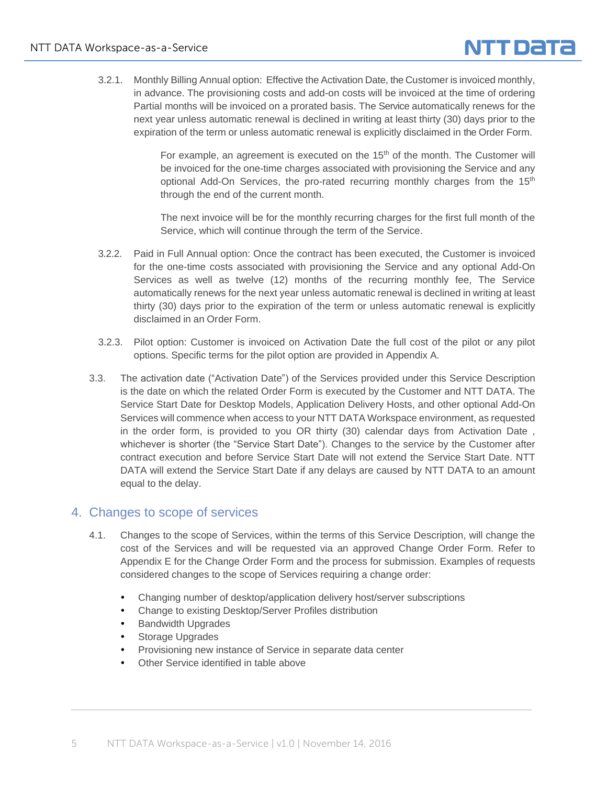

3.2.1. Monthly Billing Annual option: Effective the Activation Date, the Customer is invoiced monthly, in advance. The provisioning costs and add-on costs will be invoiced at the time of ordering Partial months will be invoiced on a prorated basis. The Service automatically renews for the next year unless automatic renewal is declined in writing at least thirty (30) days prior to the expiration of the term or unless automatic renewal is explicitly disclaimed in the Order Form.

> For example, an agreement is executed on the  $15<sup>th</sup>$  of the month. The Customer will be invoiced for the one-time charges associated with provisioning the Service and any optional Add-On Services, the pro-rated recurring monthly charges from the 15<sup>th</sup> through the end of the current month.

> The next invoice will be for the monthly recurring charges for the first full month of the Service, which will continue through the term of the Service.

- 3.2.2. Paid in Full Annual option: Once the contract has been executed, the Customer is invoiced for the one-time costs associated with provisioning the Service and any optional Add-On Services as well as twelve (12) months of the recurring monthly fee, The Service automatically renews for the next year unless automatic renewal is declined in writing at least thirty (30) days prior to the expiration of the term or unless automatic renewal is explicitly disclaimed in an Order Form.
- 3.2.3. Pilot option: Customer is invoiced on Activation Date the full cost of the pilot or any pilot options. Specific terms for the pilot option are provided in Appendix A.
- 3.3. The activation date ("Activation Date") of the Services provided under this Service Description is the date on which the related Order Form is executed by the Customer and NTT DATA. The Service Start Date for Desktop Models, Application Delivery Hosts, and other optional Add-On Services will commence when access to your NTT DATA Workspace environment, as requested in the order form, is provided to you OR thirty (30) calendar days from Activation Date , whichever is shorter (the "Service Start Date"). Changes to the service by the Customer after contract execution and before Service Start Date will not extend the Service Start Date. NTT DATA will extend the Service Start Date if any delays are caused by NTT DATA to an amount equal to the delay.

#### 4. Changes to scope of services

- 4.1. Changes to the scope of Services, within the terms of this Service Description, will change the cost of the Services and will be requested via an approved Change Order Form. Refer to Appendix E for the Change Order Form and the process for submission. Examples of requests considered changes to the scope of Services requiring a change order:
	- Changing number of desktop/application delivery host/server subscriptions
	- Change to existing Desktop/Server Profiles distribution
	- Bandwidth Upgrades
	- Storage Upgrades
	- Provisioning new instance of Service in separate data center
	- Other Service identified in table above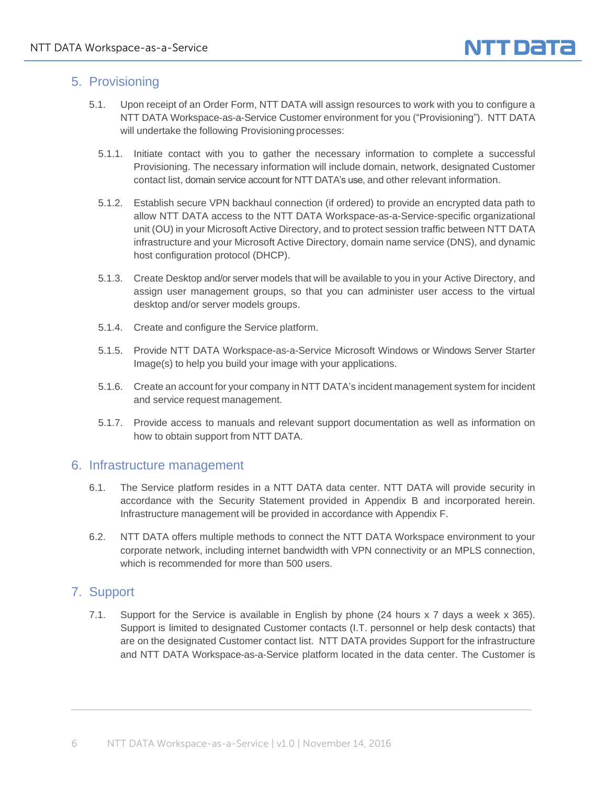# 5. Provisioning

- 5.1. Upon receipt of an Order Form, NTT DATA will assign resources to work with you to configure a NTT DATA Workspace-as-a-Service Customer environment for you ("Provisioning"). NTT DATA will undertake the following Provisioning processes:
	- 5.1.1. Initiate contact with you to gather the necessary information to complete a successful Provisioning. The necessary information will include domain, network, designated Customer contact list, domain service account for NTT DATA's use, and other relevant information.
	- 5.1.2. Establish secure VPN backhaul connection (if ordered) to provide an encrypted data path to allow NTT DATA access to the NTT DATA Workspace-as-a-Service-specific organizational unit (OU) in your Microsoft Active Directory, and to protect session traffic between NTT DATA infrastructure and your Microsoft Active Directory, domain name service (DNS), and dynamic host configuration protocol (DHCP).
	- 5.1.3. Create Desktop and/or server models that will be available to you in your Active Directory, and assign user management groups, so that you can administer user access to the virtual desktop and/or server models groups.
	- 5.1.4. Create and configure the Service platform.
	- 5.1.5. Provide NTT DATA Workspace-as-a-Service Microsoft Windows or Windows Server Starter Image(s) to help you build your image with your applications.
	- 5.1.6. Create an account for your company in NTT DATA's incident management system for incident and service request management.
	- 5.1.7. Provide access to manuals and relevant support documentation as well as information on how to obtain support from NTT DATA.

#### 6. Infrastructure management

- 6.1. The Service platform resides in a NTT DATA data center. NTT DATA will provide security in accordance with the Security Statement provided in Appendix B and incorporated herein. Infrastructure management will be provided in accordance with Appendix F.
- 6.2. NTT DATA offers multiple methods to connect the NTT DATA Workspace environment to your corporate network, including internet bandwidth with VPN connectivity or an MPLS connection, which is recommended for more than 500 users.

# 7. Support

7.1. Support for the Service is available in English by phone (24 hours x 7 days a week x 365). Support is limited to designated Customer contacts (I.T. personnel or help desk contacts) that are on the designated Customer contact list. NTT DATA provides Support for the infrastructure and NTT DATA Workspace-as-a-Service platform located in the data center. The Customer is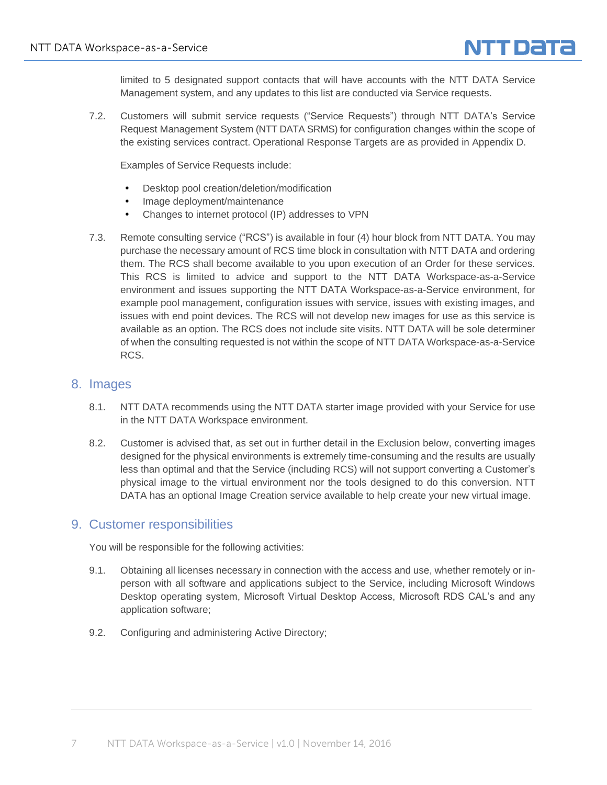

limited to 5 designated support contacts that will have accounts with the NTT DATA Service Management system, and any updates to this list are conducted via Service requests.

7.2. Customers will submit service requests ("Service Requests") through NTT DATA's Service Request Management System (NTT DATA SRMS) for configuration changes within the scope of the existing services contract. Operational Response Targets are as provided in Appendix D.

Examples of Service Requests include:

- Desktop pool creation/deletion/modification
- Image deployment/maintenance
- Changes to internet protocol (IP) addresses to VPN
- 7.3. Remote consulting service ("RCS") is available in four (4) hour block from NTT DATA. You may purchase the necessary amount of RCS time block in consultation with NTT DATA and ordering them. The RCS shall become available to you upon execution of an Order for these services. This RCS is limited to advice and support to the NTT DATA Workspace-as-a-Service environment and issues supporting the NTT DATA Workspace-as-a-Service environment, for example pool management, configuration issues with service, issues with existing images, and issues with end point devices. The RCS will not develop new images for use as this service is available as an option. The RCS does not include site visits. NTT DATA will be sole determiner of when the consulting requested is not within the scope of NTT DATA Workspace-as-a-Service RCS.

#### 8. Images

- 8.1. NTT DATA recommends using the NTT DATA starter image provided with your Service for use in the NTT DATA Workspace environment.
- 8.2. Customer is advised that, as set out in further detail in the Exclusion below, converting images designed for the physical environments is extremely time-consuming and the results are usually less than optimal and that the Service (including RCS) will not support converting a Customer's physical image to the virtual environment nor the tools designed to do this conversion. NTT DATA has an optional Image Creation service available to help create your new virtual image.

#### 9. Customer responsibilities

You will be responsible for the following activities:

- 9.1. Obtaining all licenses necessary in connection with the access and use, whether remotely or inperson with all software and applications subject to the Service, including Microsoft Windows Desktop operating system, Microsoft Virtual Desktop Access, Microsoft RDS CAL's and any application software;
- 9.2. Configuring and administering Active Directory;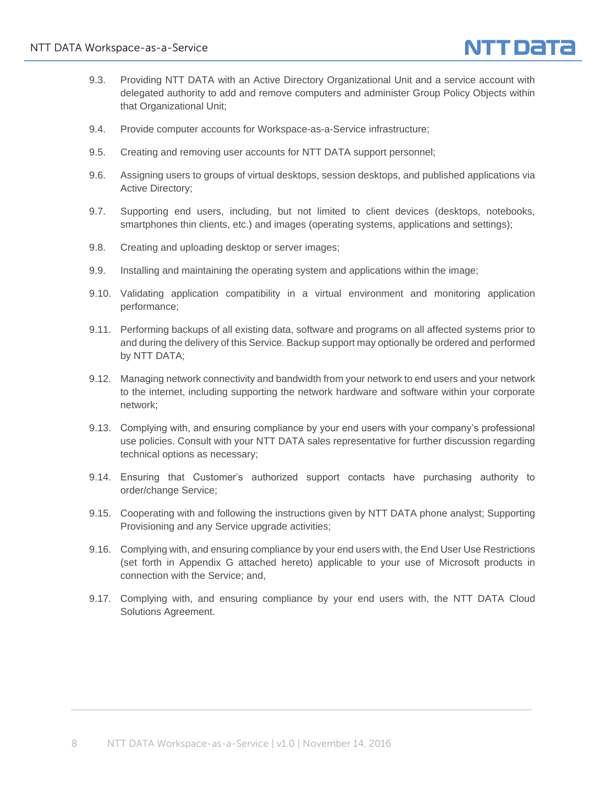

- 9.3. Providing NTT DATA with an Active Directory Organizational Unit and a service account with delegated authority to add and remove computers and administer Group Policy Objects within that Organizational Unit;
- 9.4. Provide computer accounts for Workspace-as-a-Service infrastructure;
- 9.5. Creating and removing user accounts for NTT DATA support personnel;
- 9.6. Assigning users to groups of virtual desktops, session desktops, and published applications via Active Directory;
- 9.7. Supporting end users, including, but not limited to client devices (desktops, notebooks, smartphones thin clients, etc.) and images (operating systems, applications and settings);
- 9.8. Creating and uploading desktop or server images;
- 9.9. Installing and maintaining the operating system and applications within the image;
- 9.10. Validating application compatibility in a virtual environment and monitoring application performance;
- 9.11. Performing backups of all existing data, software and programs on all affected systems prior to and during the delivery of this Service. Backup support may optionally be ordered and performed by NTT DATA;
- 9.12. Managing network connectivity and bandwidth from your network to end users and your network to the internet, including supporting the network hardware and software within your corporate network;
- 9.13. Complying with, and ensuring compliance by your end users with your company's professional use policies. Consult with your NTT DATA sales representative for further discussion regarding technical options as necessary;
- 9.14. Ensuring that Customer's authorized support contacts have purchasing authority to order/change Service;
- 9.15. Cooperating with and following the instructions given by NTT DATA phone analyst; Supporting Provisioning and any Service upgrade activities;
- 9.16. Complying with, and ensuring compliance by your end users with, the End User Use Restrictions (set forth in Appendix G attached hereto) applicable to your use of Microsoft products in connection with the Service; and,
- 9.17. Complying with, and ensuring compliance by your end users with, the NTT DATA Cloud Solutions Agreement.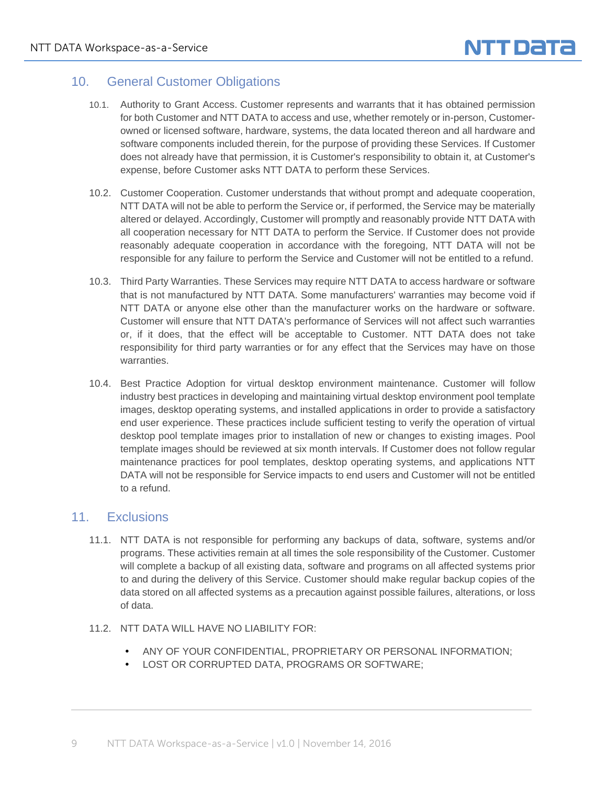# 10. General Customer Obligations

- 10.1. Authority to Grant Access. Customer represents and warrants that it has obtained permission for both Customer and NTT DATA to access and use, whether remotely or in-person, Customerowned or licensed software, hardware, systems, the data located thereon and all hardware and software components included therein, for the purpose of providing these Services. If Customer does not already have that permission, it is Customer's responsibility to obtain it, at Customer's expense, before Customer asks NTT DATA to perform these Services.
- 10.2. Customer Cooperation. Customer understands that without prompt and adequate cooperation, NTT DATA will not be able to perform the Service or, if performed, the Service may be materially altered or delayed. Accordingly, Customer will promptly and reasonably provide NTT DATA with all cooperation necessary for NTT DATA to perform the Service. If Customer does not provide reasonably adequate cooperation in accordance with the foregoing, NTT DATA will not be responsible for any failure to perform the Service and Customer will not be entitled to a refund.
- 10.3. Third Party Warranties. These Services may require NTT DATA to access hardware or software that is not manufactured by NTT DATA. Some manufacturers' warranties may become void if NTT DATA or anyone else other than the manufacturer works on the hardware or software. Customer will ensure that NTT DATA's performance of Services will not affect such warranties or, if it does, that the effect will be acceptable to Customer. NTT DATA does not take responsibility for third party warranties or for any effect that the Services may have on those warranties.
- 10.4. Best Practice Adoption for virtual desktop environment maintenance. Customer will follow industry best practices in developing and maintaining virtual desktop environment pool template images, desktop operating systems, and installed applications in order to provide a satisfactory end user experience. These practices include sufficient testing to verify the operation of virtual desktop pool template images prior to installation of new or changes to existing images. Pool template images should be reviewed at six month intervals. If Customer does not follow regular maintenance practices for pool templates, desktop operating systems, and applications NTT DATA will not be responsible for Service impacts to end users and Customer will not be entitled to a refund.

#### 11. Exclusions

- 11.1. NTT DATA is not responsible for performing any backups of data, software, systems and/or programs. These activities remain at all times the sole responsibility of the Customer. Customer will complete a backup of all existing data, software and programs on all affected systems prior to and during the delivery of this Service. Customer should make regular backup copies of the data stored on all affected systems as a precaution against possible failures, alterations, or loss of data.
- 11.2. NTT DATA WILL HAVE NO LIABILITY FOR:
	- ANY OF YOUR CONFIDENTIAL, PROPRIETARY OR PERSONAL INFORMATION;
	- LOST OR CORRUPTED DATA, PROGRAMS OR SOFTWARE;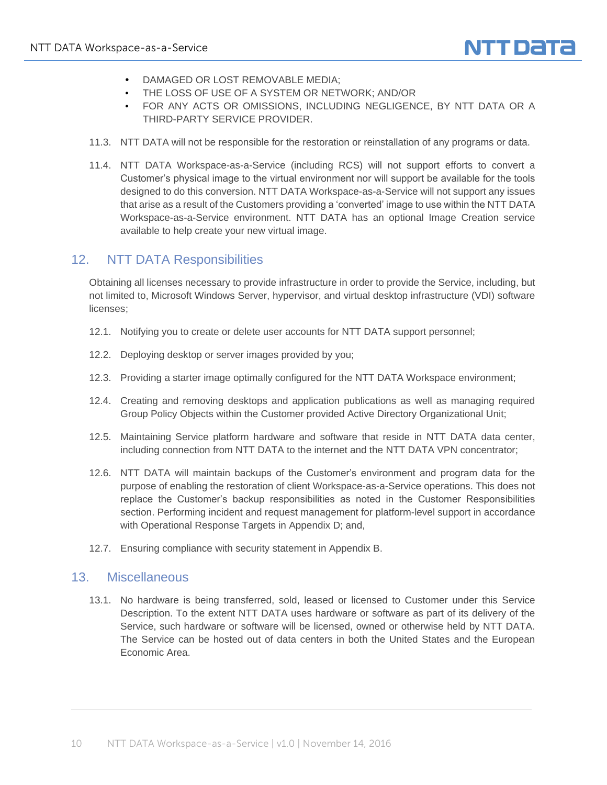

- DAMAGED OR LOST REMOVABLE MEDIA;
- THE LOSS OF USE OF A SYSTEM OR NETWORK; AND/OR
- FOR ANY ACTS OR OMISSIONS, INCLUDING NEGLIGENCE, BY NTT DATA OR A THIRD-PARTY SERVICE PROVIDER.
- 11.3. NTT DATA will not be responsible for the restoration or reinstallation of any programs or data.
- 11.4. NTT DATA Workspace-as-a-Service (including RCS) will not support efforts to convert a Customer's physical image to the virtual environment nor will support be available for the tools designed to do this conversion. NTT DATA Workspace-as-a-Service will not support any issues that arise as a result of the Customers providing a 'converted' image to use within the NTT DATA Workspace-as-a-Service environment. NTT DATA has an optional Image Creation service available to help create your new virtual image.

#### 12. NTT DATA Responsibilities

Obtaining all licenses necessary to provide infrastructure in order to provide the Service, including, but not limited to, Microsoft Windows Server, hypervisor, and virtual desktop infrastructure (VDI) software licenses;

- 12.1. Notifying you to create or delete user accounts for NTT DATA support personnel;
- 12.2. Deploying desktop or server images provided by you;
- 12.3. Providing a starter image optimally configured for the NTT DATA Workspace environment;
- 12.4. Creating and removing desktops and application publications as well as managing required Group Policy Objects within the Customer provided Active Directory Organizational Unit;
- 12.5. Maintaining Service platform hardware and software that reside in NTT DATA data center, including connection from NTT DATA to the internet and the NTT DATA VPN concentrator;
- 12.6. NTT DATA will maintain backups of the Customer's environment and program data for the purpose of enabling the restoration of client Workspace-as-a-Service operations. This does not replace the Customer's backup responsibilities as noted in the Customer Responsibilities section. Performing incident and request management for platform-level support in accordance with Operational Response Targets in Appendix D; and,
- 12.7. Ensuring compliance with security statement in Appendix B.

#### 13. Miscellaneous

13.1. No hardware is being transferred, sold, leased or licensed to Customer under this Service Description. To the extent NTT DATA uses hardware or software as part of its delivery of the Service, such hardware or software will be licensed, owned or otherwise held by NTT DATA. The Service can be hosted out of data centers in both the United States and the European Economic Area.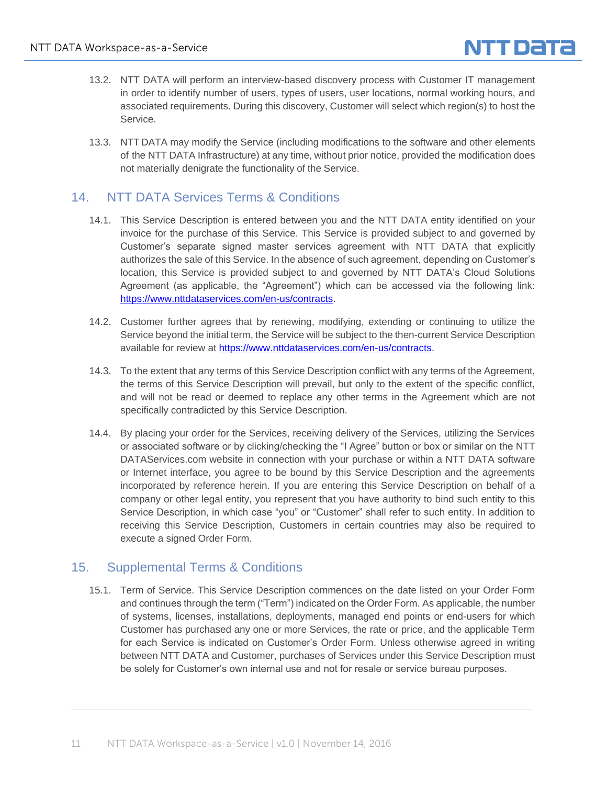

- 13.2. NTT DATA will perform an interview-based discovery process with Customer IT management in order to identify number of users, types of users, user locations, normal working hours, and associated requirements. During this discovery, Customer will select which region(s) to host the Service.
- 13.3. NTT DATA may modify the Service (including modifications to the software and other elements of the NTT DATA Infrastructure) at any time, without prior notice, provided the modification does not materially denigrate the functionality of the Service.

### 14. NTT DATA Services Terms & Conditions

- 14.1. This Service Description is entered between you and the NTT DATA entity identified on your invoice for the purchase of this Service. This Service is provided subject to and governed by Customer's separate signed master services agreement with NTT DATA that explicitly authorizes the sale of this Service. In the absence of such agreement, depending on Customer's location, this Service is provided subject to and governed by NTT DATA's Cloud Solutions Agreement (as applicable, the "Agreement") which can be accessed via the following link: [https://www.nttdataservices.com/en-us/contracts.](https://www.nttdataservices.com/en-us/contracts)
- 14.2. Customer further agrees that by renewing, modifying, extending or continuing to utilize the Service beyond the initial term, the Service will be subject to the then-current Service Description available for review at [https://www.nttdataservices.com/en-us/contracts.](https://www.nttdataservices.com/en-us/contracts)
- 14.3. To the extent that any terms of this Service Description conflict with any terms of the Agreement, the terms of this Service Description will prevail, but only to the extent of the specific conflict, and will not be read or deemed to replace any other terms in the Agreement which are not specifically contradicted by this Service Description.
- 14.4. By placing your order for the Services, receiving delivery of the Services, utilizing the Services or associated software or by clicking/checking the "I Agree" button or box or similar on the NTT DATAServices.com website in connection with your purchase or within a NTT DATA software or Internet interface, you agree to be bound by this Service Description and the agreements incorporated by reference herein. If you are entering this Service Description on behalf of a company or other legal entity, you represent that you have authority to bind such entity to this Service Description, in which case "you" or "Customer" shall refer to such entity. In addition to receiving this Service Description, Customers in certain countries may also be required to execute a signed Order Form.

## 15. Supplemental Terms & Conditions

15.1. Term of Service. This Service Description commences on the date listed on your Order Form and continues through the term ("Term") indicated on the Order Form. As applicable, the number of systems, licenses, installations, deployments, managed end points or end-users for which Customer has purchased any one or more Services, the rate or price, and the applicable Term for each Service is indicated on Customer's Order Form. Unless otherwise agreed in writing between NTT DATA and Customer, purchases of Services under this Service Description must be solely for Customer's own internal use and not for resale or service bureau purposes.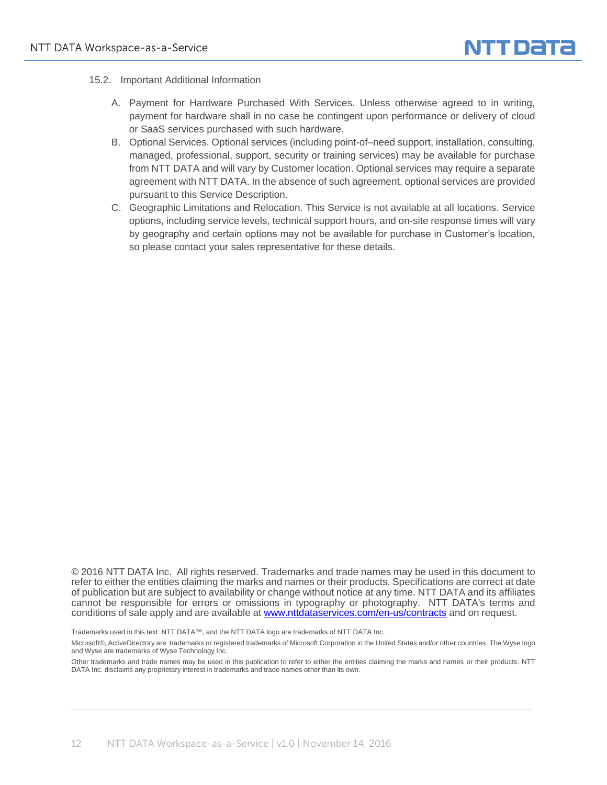

- 15.2. Important Additional Information
	- A. Payment for Hardware Purchased With Services. Unless otherwise agreed to in writing, payment for hardware shall in no case be contingent upon performance or delivery of cloud or SaaS services purchased with such hardware.
	- B. Optional Services. Optional services (including point-of–need support, installation, consulting, managed, professional, support, security or training services) may be available for purchase from NTT DATA and will vary by Customer location. Optional services may require a separate agreement with NTT DATA. In the absence of such agreement, optional services are provided pursuant to this Service Description.
	- C. Geographic Limitations and Relocation. This Service is not available at all locations. Service options, including service levels, technical support hours, and on-site response times will vary by geography and certain options may not be available for purchase in Customer's location, so please contact your sales representative for these details.

© 2016 NTT DATA Inc. All rights reserved. Trademarks and trade names may be used in this document to refer to either the entities claiming the marks and names or their products. Specifications are correct at date of publication but are subject to availability or change without notice at any time. NTT DATA and its affiliates cannot be responsible for errors or omissions in typography or photography. NTT DATA's terms and conditions of sale apply and are available at [www.nttdataservices.com/en-us/contracts](https://www.nttdataservices.com/en-us/contracts) and on request.

Trademarks used in this text: NTT DATA™, and the NTT DATA logo are trademarks of NTT DATA Inc.

Microsoft®, ActiveDirectory are trademarks or registered trademarks of Microsoft Corporation in the United States and/or other countries. The Wyse logo and Wyse are trademarks of Wyse Technology Inc.

Other trademarks and trade names may be used in this publication to refer to either the entities claiming the marks and names or their products. NTT DATA Inc. disclaims any proprietary interest in trademarks and trade names other than its own.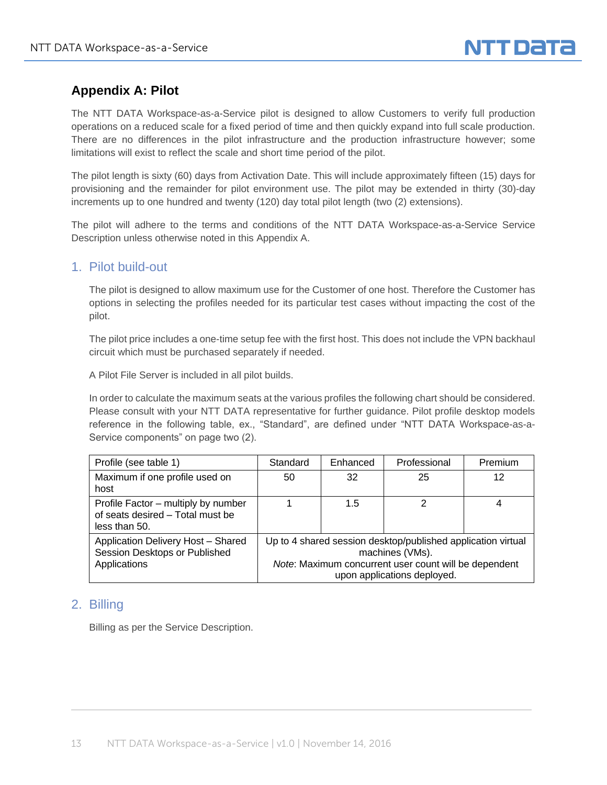# **Appendix A: Pilot**

The NTT DATA Workspace-as-a-Service pilot is designed to allow Customers to verify full production operations on a reduced scale for a fixed period of time and then quickly expand into full scale production. There are no differences in the pilot infrastructure and the production infrastructure however; some limitations will exist to reflect the scale and short time period of the pilot.

The pilot length is sixty (60) days from Activation Date. This will include approximately fifteen (15) days for provisioning and the remainder for pilot environment use. The pilot may be extended in thirty (30)-day increments up to one hundred and twenty (120) day total pilot length (two (2) extensions).

The pilot will adhere to the terms and conditions of the NTT DATA Workspace-as-a-Service Service Description unless otherwise noted in this Appendix A.

#### 1. Pilot build-out

The pilot is designed to allow maximum use for the Customer of one host. Therefore the Customer has options in selecting the profiles needed for its particular test cases without impacting the cost of the pilot.

The pilot price includes a one-time setup fee with the first host. This does not include the VPN backhaul circuit which must be purchased separately if needed.

A Pilot File Server is included in all pilot builds.

In order to calculate the maximum seats at the various profiles the following chart should be considered. Please consult with your NTT DATA representative for further guidance. Pilot profile desktop models reference in the following table, ex., "Standard", are defined under "NTT DATA Workspace-as-a-Service components" on page two (2).

| Profile (see table 1)                                                                    | Standard                                                                                                                                                                | Enhanced | Professional | Premium |
|------------------------------------------------------------------------------------------|-------------------------------------------------------------------------------------------------------------------------------------------------------------------------|----------|--------------|---------|
| Maximum if one profile used on<br>host                                                   | 50                                                                                                                                                                      | 32       | 25           | 12      |
| Profile Factor - multiply by number<br>of seats desired - Total must be<br>less than 50. |                                                                                                                                                                         | 1.5      | 2            |         |
| Application Delivery Host - Shared<br>Session Desktops or Published<br>Applications      | Up to 4 shared session desktop/published application virtual<br>machines (VMs).<br>Note: Maximum concurrent user count will be dependent<br>upon applications deployed. |          |              |         |

#### 2. Billing

Billing as per the Service Description.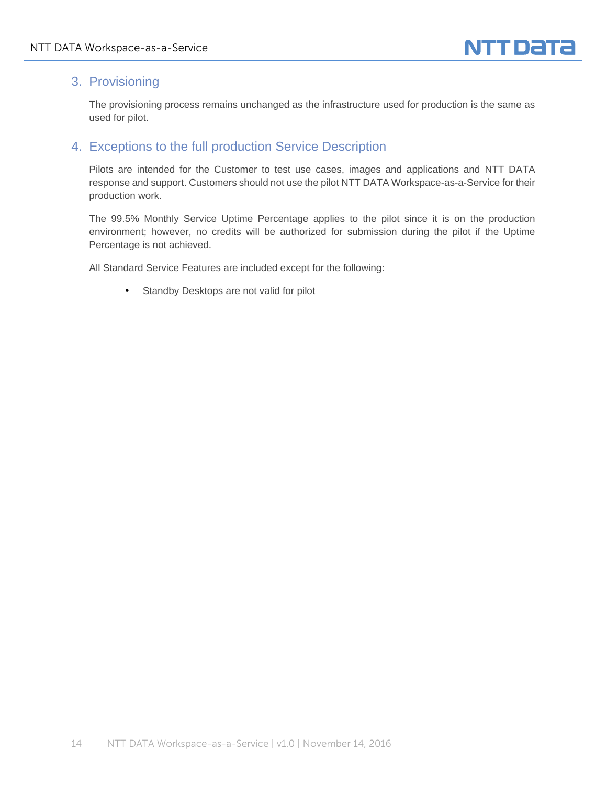# 3. Provisioning

The provisioning process remains unchanged as the infrastructure used for production is the same as used for pilot.

# 4. Exceptions to the full production Service Description

Pilots are intended for the Customer to test use cases, images and applications and NTT DATA response and support. Customers should not use the pilot NTT DATA Workspace-as-a-Service for their production work.

The 99.5% Monthly Service Uptime Percentage applies to the pilot since it is on the production environment; however, no credits will be authorized for submission during the pilot if the Uptime Percentage is not achieved.

All Standard Service Features are included except for the following:

Standby Desktops are not valid for pilot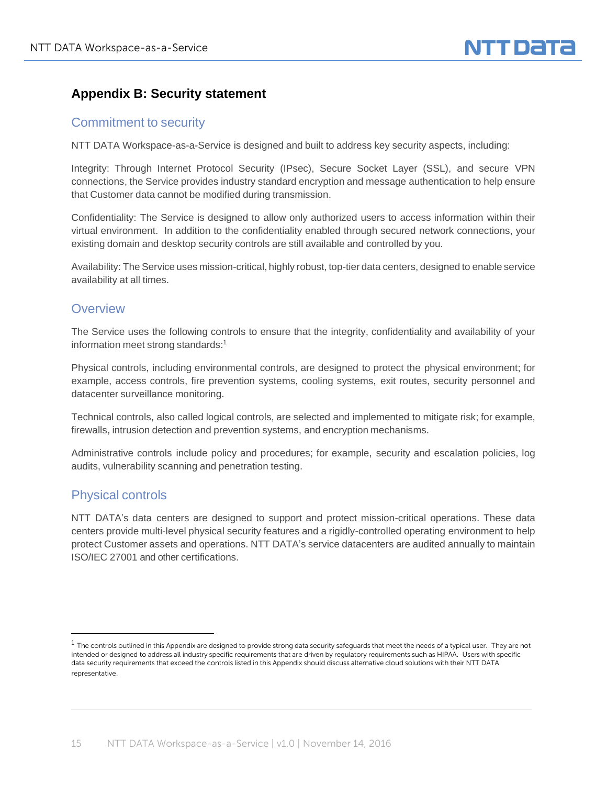# **Appendix B: Security statement**

#### Commitment to security

NTT DATA Workspace-as-a-Service is designed and built to address key security aspects, including:

Integrity: Through Internet Protocol Security (IPsec), Secure Socket Layer (SSL), and secure VPN connections, the Service provides industry standard encryption and message authentication to help ensure that Customer data cannot be modified during transmission.

Confidentiality: The Service is designed to allow only authorized users to access information within their virtual environment. In addition to the confidentiality enabled through secured network connections, your existing domain and desktop security controls are still available and controlled by you.

Availability: The Service uses mission-critical, highly robust, top-tier data centers, designed to enable service availability at all times.

#### **Overview**

The Service uses the following controls to ensure that the integrity, confidentiality and availability of your information meet strong standards:<sup>1</sup>

Physical controls, including environmental controls, are designed to protect the physical environment; for example, access controls, fire prevention systems, cooling systems, exit routes, security personnel and datacenter surveillance monitoring.

Technical controls, also called logical controls, are selected and implemented to mitigate risk; for example, firewalls, intrusion detection and prevention systems, and encryption mechanisms.

Administrative controls include policy and procedures; for example, security and escalation policies, log audits, vulnerability scanning and penetration testing.

## Physical controls

l

NTT DATA's data centers are designed to support and protect mission-critical operations. These data centers provide multi‐level physical security features and a rigidly-controlled operating environment to help protect Customer assets and operations. NTT DATA's service datacenters are audited annually to maintain ISO/IEC 27001 and other certifications.

 $1$  The controls outlined in this Appendix are designed to provide strong data security safeguards that meet the needs of a typical user. They are not intended or designed to address all industry specific requirements that are driven by regulatory requirements such as HIPAA. Users with specific data security requirements that exceed the controls listed in this Appendix should discuss alternative cloud solutions with their NTT DATA representative.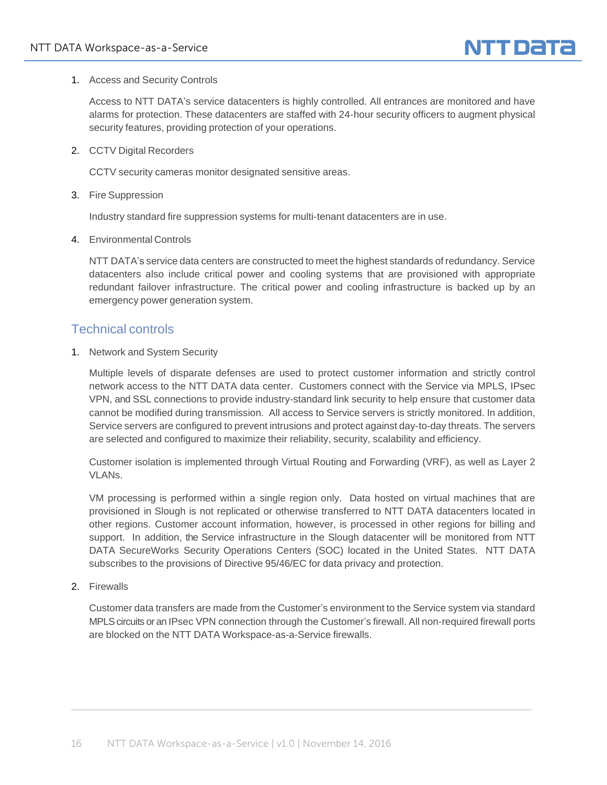

1. Access and Security Controls

Access to NTT DATA's service datacenters is highly controlled. All entrances are monitored and have alarms for protection. These datacenters are staffed with 24‐hour security officers to augment physical security features, providing protection of your operations.

2. CCTV Digital Recorders

CCTV security cameras monitor designated sensitive areas.

3. Fire Suppression

Industry standard fire suppression systems for multi-tenant datacenters are in use.

4. Environmental Controls

NTT DATA's service data centers are constructed to meet the highest standards of redundancy. Service datacenters also include critical power and cooling systems that are provisioned with appropriate redundant failover infrastructure. The critical power and cooling infrastructure is backed up by an emergency power generation system.

#### Technical controls

1. Network and System Security

Multiple levels of disparate defenses are used to protect customer information and strictly control network access to the NTT DATA data center. Customers connect with the Service via MPLS, IPsec VPN, and SSL connections to provide industry-standard link security to help ensure that customer data cannot be modified during transmission. All access to Service servers is strictly monitored. In addition, Service servers are configured to prevent intrusions and protect against day‐to‐day threats. The servers are selected and configured to maximize their reliability, security, scalability and efficiency.

Customer isolation is implemented through Virtual Routing and Forwarding (VRF), as well as Layer 2 VLANs.

VM processing is performed within a single region only. Data hosted on virtual machines that are provisioned in Slough is not replicated or otherwise transferred to NTT DATA datacenters located in other regions. Customer account information, however, is processed in other regions for billing and support. In addition, the Service infrastructure in the Slough datacenter will be monitored from NTT DATA SecureWorks Security Operations Centers (SOC) located in the United States. NTT DATA subscribes to the provisions of Directive 95/46/EC for data privacy and protection.

2. Firewalls

Customer data transfers are made from the Customer's environment to the Service system via standard MPLS circuits or an IPsec VPN connection through the Customer's firewall. All non‐required firewall ports are blocked on the NTT DATA Workspace-as-a-Service firewalls.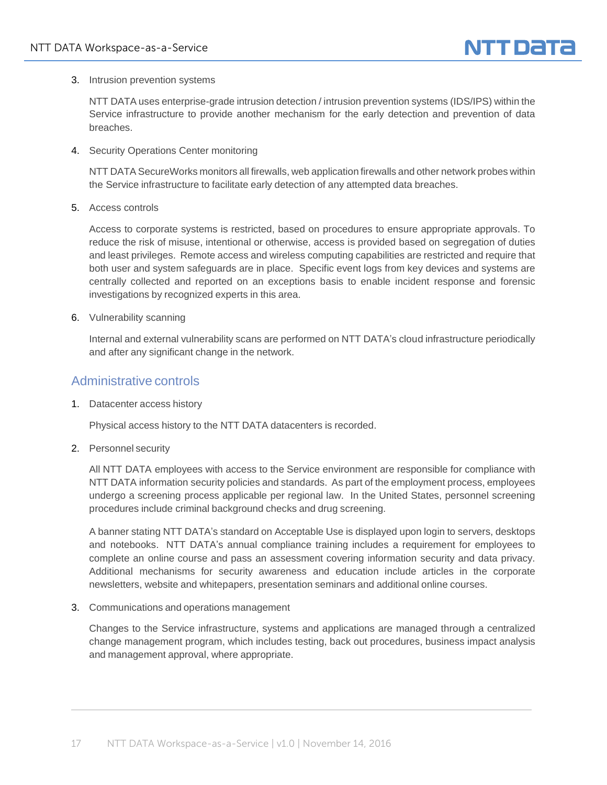

3. Intrusion prevention systems

NTT DATA uses enterprise-grade intrusion detection / intrusion prevention systems (IDS/IPS) within the Service infrastructure to provide another mechanism for the early detection and prevention of data breaches.

4. Security Operations Center monitoring

NTT DATA SecureWorks monitors all firewalls, web application firewalls and other network probes within the Service infrastructure to facilitate early detection of any attempted data breaches.

5. Access controls

Access to corporate systems is restricted, based on procedures to ensure appropriate approvals. To reduce the risk of misuse, intentional or otherwise, access is provided based on segregation of duties and least privileges. Remote access and wireless computing capabilities are restricted and require that both user and system safeguards are in place. Specific event logs from key devices and systems are centrally collected and reported on an exceptions basis to enable incident response and forensic investigations by recognized experts in this area.

6. Vulnerability scanning

Internal and external vulnerability scans are performed on NTT DATA's cloud infrastructure periodically and after any significant change in the network.

#### Administrative controls

1. Datacenter access history

Physical access history to the NTT DATA datacenters is recorded.

2. Personnel security

All NTT DATA employees with access to the Service environment are responsible for compliance with NTT DATA information security policies and standards. As part of the employment process, employees undergo a screening process applicable per regional law. In the United States, personnel screening procedures include criminal background checks and drug screening.

A banner stating NTT DATA's standard on Acceptable Use is displayed upon login to servers, desktops and notebooks. NTT DATA's annual compliance training includes a requirement for employees to complete an online course and pass an assessment covering information security and data privacy. Additional mechanisms for security awareness and education include articles in the corporate newsletters, website and whitepapers, presentation seminars and additional online courses.

3. Communications and operations management

Changes to the Service infrastructure, systems and applications are managed through a centralized change management program, which includes testing, back out procedures, business impact analysis and management approval, where appropriate.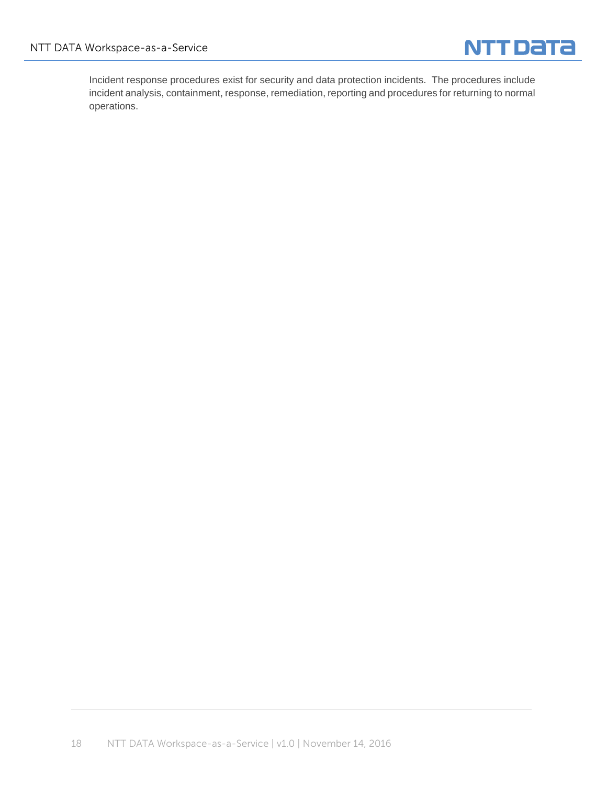

Incident response procedures exist for security and data protection incidents. The procedures include incident analysis, containment, response, remediation, reporting and procedures for returning to normal operations.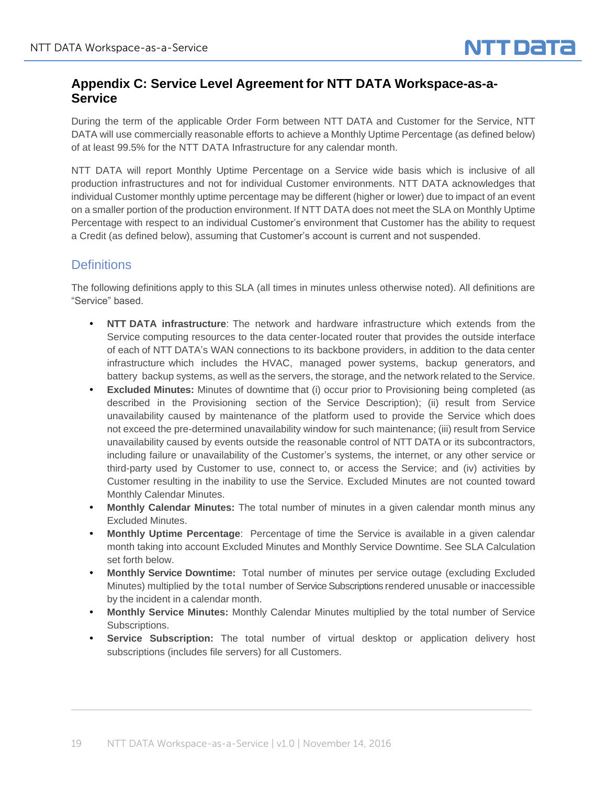# **Appendix C: Service Level Agreement for NTT DATA Workspace-as-a-Service**

During the term of the applicable Order Form between NTT DATA and Customer for the Service, NTT DATA will use commercially reasonable efforts to achieve a Monthly Uptime Percentage (as defined below) of at least 99.5% for the NTT DATA Infrastructure for any calendar month.

NTT DATA will report Monthly Uptime Percentage on a Service wide basis which is inclusive of all production infrastructures and not for individual Customer environments. NTT DATA acknowledges that individual Customer monthly uptime percentage may be different (higher or lower) due to impact of an event on a smaller portion of the production environment. If NTT DATA does not meet the SLA on Monthly Uptime Percentage with respect to an individual Customer's environment that Customer has the ability to request a Credit (as defined below), assuming that Customer's account is current and not suspended.

# **Definitions**

The following definitions apply to this SLA (all times in minutes unless otherwise noted). All definitions are "Service" based.

- **NTT DATA infrastructure**: The network and hardware infrastructure which extends from the Service computing resources to the data center-located router that provides the outside interface of each of NTT DATA's WAN connections to its backbone providers, in addition to the data center infrastructure which includes the HVAC, managed power systems, backup generators, and battery backup systems, as well as the servers, the storage, and the network related to the Service.
- **Excluded Minutes:** Minutes of downtime that (i) occur prior to Provisioning being completed (as described in the Provisioning section of the Service Description); (ii) result from Service unavailability caused by maintenance of the platform used to provide the Service which does not exceed the pre-determined unavailability window for such maintenance; (iii) result from Service unavailability caused by events outside the reasonable control of NTT DATA or its subcontractors, including failure or unavailability of the Customer's systems, the internet, or any other service or third-party used by Customer to use, connect to, or access the Service; and (iv) activities by Customer resulting in the inability to use the Service. Excluded Minutes are not counted toward Monthly Calendar Minutes.
- **Monthly Calendar Minutes:** The total number of minutes in a given calendar month minus any Excluded Minutes.
- **Monthly Uptime Percentage**: Percentage of time the Service is available in a given calendar month taking into account Excluded Minutes and Monthly Service Downtime. See SLA Calculation set forth below.
- **Monthly Service Downtime:** Total number of minutes per service outage (excluding Excluded Minutes) multiplied by the total number of Service Subscriptions rendered unusable or inaccessible by the incident in a calendar month.
- **Monthly Service Minutes:** Monthly Calendar Minutes multiplied by the total number of Service Subscriptions.
- **Service Subscription:** The total number of virtual desktop or application delivery host subscriptions (includes file servers) for all Customers.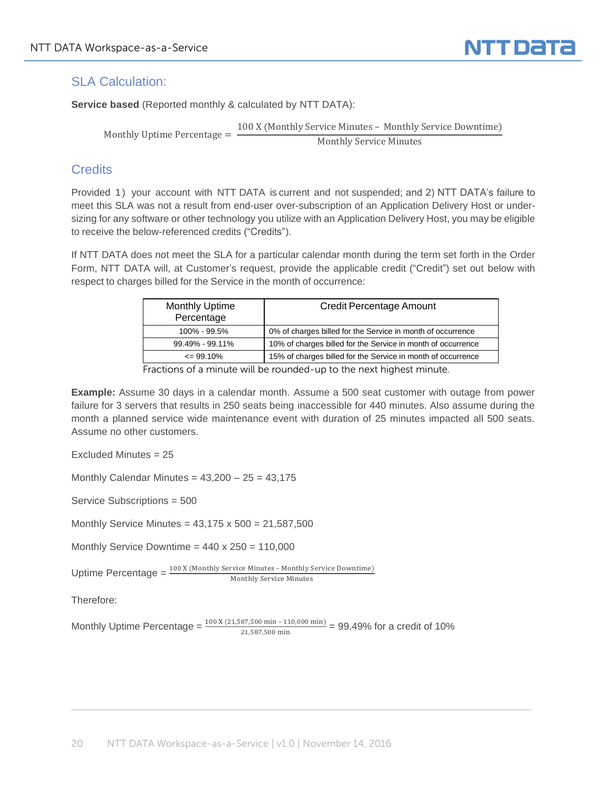

### SLA Calculation:

**Service based** (Reported monthly & calculated by NTT DATA):

Monthly Uptime Percentage  $=$   $\frac{100 \text{ X (Monthly Service Number})}{\text{M, high}}$ Monthly Service Minutes

#### **Credits**

Provided 1) your account with NTT DATA is current and not suspended; and 2) NTT DATA's failure to meet this SLA was not a result from end-user over-subscription of an Application Delivery Host or undersizing for any software or other technology you utilize with an Application Delivery Host, you may be eligible to receive the below-referenced credits ("Credits").

If NTT DATA does not meet the SLA for a particular calendar month during the term set forth in the Order Form, NTT DATA will, at Customer's request, provide the applicable credit ("Credit") set out below with respect to charges billed for the Service in the month of occurrence:

| <b>Monthly Uptime</b><br>Percentage | Credit Percentage Amount                                     |
|-------------------------------------|--------------------------------------------------------------|
| 100% - 99.5%                        | 0% of charges billed for the Service in month of occurrence  |
| 99.49% - 99.11%                     | 10% of charges billed for the Service in month of occurrence |
| $\leq$ 99.10%                       | 15% of charges billed for the Service in month of occurrence |

Fractions of a minute will be rounded-up to the next highest minute.

**Example:** Assume 30 days in a calendar month. Assume a 500 seat customer with outage from power failure for 3 servers that results in 250 seats being inaccessible for 440 minutes. Also assume during the month a planned service wide maintenance event with duration of 25 minutes impacted all 500 seats. Assume no other customers.

Excluded Minutes = 25

Monthly Calendar Minutes =  $43,200 - 25 = 43,175$ 

Service Subscriptions = 500

Monthly Service Minutes = 43,175 x 500 = 21,587,500

Monthly Service Downtime =  $440 \times 250 = 110,000$ 

Uptime Percentage  $=$   $\frac{100 \text{ X} \times ( \text{Monthly Service Minutes - Monthly Service Downtime})}{T}$ Monthly Service Minutes

Therefore:

Monthly Uptime Percentage =  $\frac{100 \text{ X} (21,587,500 \text{ min} - 110,000 \text{ min})}{21,587,500 \text{ min}}$  = 99.49% for a credit of 10%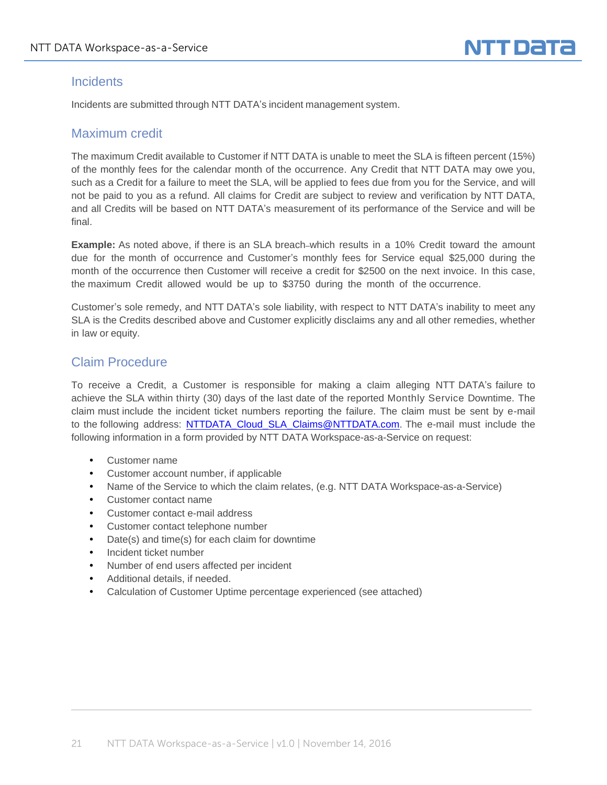#### **Incidents**

Incidents are submitted through NTT DATA's incident management system.

#### Maximum credit

The maximum Credit available to Customer if NTT DATA is unable to meet the SLA is fifteen percent (15%) of the monthly fees for the calendar month of the occurrence. Any Credit that NTT DATA may owe you, such as a Credit for a failure to meet the SLA, will be applied to fees due from you for the Service, and will not be paid to you as a refund. All claims for Credit are subject to review and verification by NTT DATA, and all Credits will be based on NTT DATA's measurement of its performance of the Service and will be final.

**Example:** As noted above, if there is an SLA breach which results in a 10% Credit toward the amount due for the month of occurrence and Customer's monthly fees for Service equal \$25,000 during the month of the occurrence then Customer will receive a credit for \$2500 on the next invoice. In this case, the maximum Credit allowed would be up to \$3750 during the month of the occurrence.

Customer's sole remedy, and NTT DATA's sole liability, with respect to NTT DATA's inability to meet any SLA is the Credits described above and Customer explicitly disclaims any and all other remedies, whether in law or equity.

### Claim Procedure

To receive a Credit, a Customer is responsible for making a claim alleging NTT DATA's failure to achieve the SLA within thirty (30) days of the last date of the reported Monthly Service Downtime. The claim must include the incident ticket numbers reporting the failure. The claim must be sent by e-mail to the following address: [NTTDATA\\_Cloud\\_SLA\\_Claims@NTTDATA.com.](mailto:NTTDATA_Cloud_SLA_Claims@NTTDATA.com) The e-mail must include the following information in a form provided by NTT DATA Workspace-as-a-Service on request:

- Customer name
- Customer account number, if applicable
- Name of the Service to which the claim relates, (e.g. NTT DATA Workspace-as-a-Service)
- Customer contact name
- Customer contact e-mail address
- Customer contact telephone number
- Date(s) and time(s) for each claim for downtime
- Incident ticket number
- Number of end users affected per incident
- Additional details, if needed.
- Calculation of Customer Uptime percentage experienced (see attached)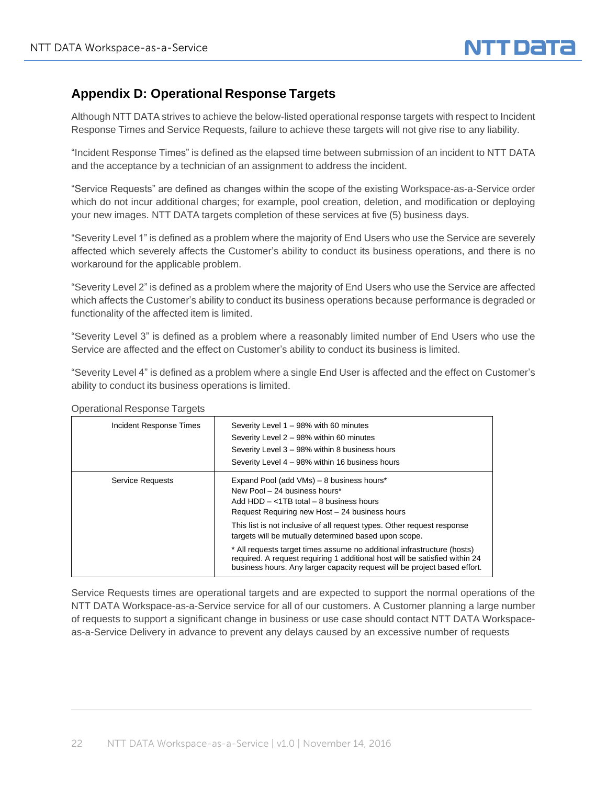

# **Appendix D: Operational Response Targets**

Although NTT DATA strives to achieve the below-listed operational response targets with respect to Incident Response Times and Service Requests, failure to achieve these targets will not give rise to any liability.

"Incident Response Times" is defined as the elapsed time between submission of an incident to NTT DATA and the acceptance by a technician of an assignment to address the incident.

"Service Requests" are defined as changes within the scope of the existing Workspace-as-a-Service order which do not incur additional charges; for example, pool creation, deletion, and modification or deploying your new images. NTT DATA targets completion of these services at five (5) business days.

"Severity Level 1" is defined as a problem where the majority of End Users who use the Service are severely affected which severely affects the Customer's ability to conduct its business operations, and there is no workaround for the applicable problem.

"Severity Level 2" is defined as a problem where the majority of End Users who use the Service are affected which affects the Customer's ability to conduct its business operations because performance is degraded or functionality of the affected item is limited.

"Severity Level 3" is defined as a problem where a reasonably limited number of End Users who use the Service are affected and the effect on Customer's ability to conduct its business is limited.

"Severity Level 4" is defined as a problem where a single End User is affected and the effect on Customer's ability to conduct its business operations is limited.

| Incident Response Times | Severity Level 1 - 98% with 60 minutes<br>Severity Level 2 - 98% within 60 minutes<br>Severity Level 3 - 98% within 8 business hours<br>Severity Level 4 - 98% within 16 business hours                                             |
|-------------------------|-------------------------------------------------------------------------------------------------------------------------------------------------------------------------------------------------------------------------------------|
| Service Requests        | Expand Pool (add VMs) - 8 business hours*<br>New Pool - 24 business hours*<br>Add $HDD - < 1TB$ total $-8$ business hours<br>Request Requiring new Host - 24 business hours                                                         |
|                         | This list is not inclusive of all request types. Other request response<br>targets will be mutually determined based upon scope.                                                                                                    |
|                         | * All requests target times assume no additional infrastructure (hosts)<br>required. A request requiring 1 additional host will be satisfied within 24<br>business hours. Any larger capacity request will be project based effort. |

Operational Response Targets

Service Requests times are operational targets and are expected to support the normal operations of the NTT DATA Workspace-as-a-Service service for all of our customers. A Customer planning a large number of requests to support a significant change in business or use case should contact NTT DATA Workspaceas-a-Service Delivery in advance to prevent any delays caused by an excessive number of requests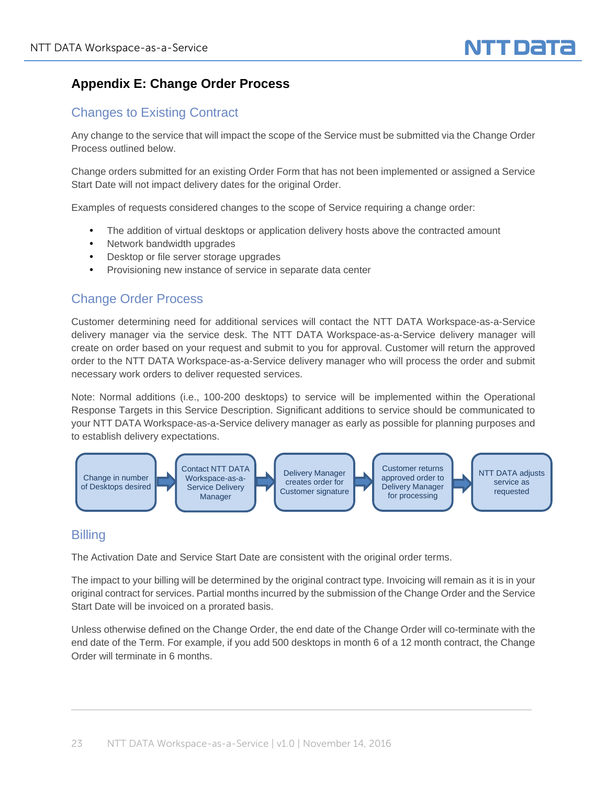

# **Appendix E: Change Order Process**

# Changes to Existing Contract

Any change to the service that will impact the scope of the Service must be submitted via the Change Order Process outlined below.

Change orders submitted for an existing Order Form that has not been implemented or assigned a Service Start Date will not impact delivery dates for the original Order.

Examples of requests considered changes to the scope of Service requiring a change order:

- The addition of virtual desktops or application delivery hosts above the contracted amount
- Network bandwidth upgrades
- Desktop or file server storage upgrades
- Provisioning new instance of service in separate data center

# Change Order Process

Customer determining need for additional services will contact the NTT DATA Workspace-as-a-Service delivery manager via the service desk. The NTT DATA Workspace-as-a-Service delivery manager will create on order based on your request and submit to you for approval. Customer will return the approved order to the NTT DATA Workspace-as-a-Service delivery manager who will process the order and submit necessary work orders to deliver requested services.

Note: Normal additions (i.e., 100-200 desktops) to service will be implemented within the Operational Response Targets in this Service Description. Significant additions to service should be communicated to your NTT DATA Workspace-as-a-Service delivery manager as early as possible for planning purposes and to establish delivery expectations.



#### **Billing**

The Activation Date and Service Start Date are consistent with the original order terms.

The impact to your billing will be determined by the original contract type. Invoicing will remain as it is in your original contract for services. Partial months incurred by the submission of the Change Order and the Service Start Date will be invoiced on a prorated basis.

Unless otherwise defined on the Change Order, the end date of the Change Order will co-terminate with the end date of the Term. For example, if you add 500 desktops in month 6 of a 12 month contract, the Change Order will terminate in 6 months.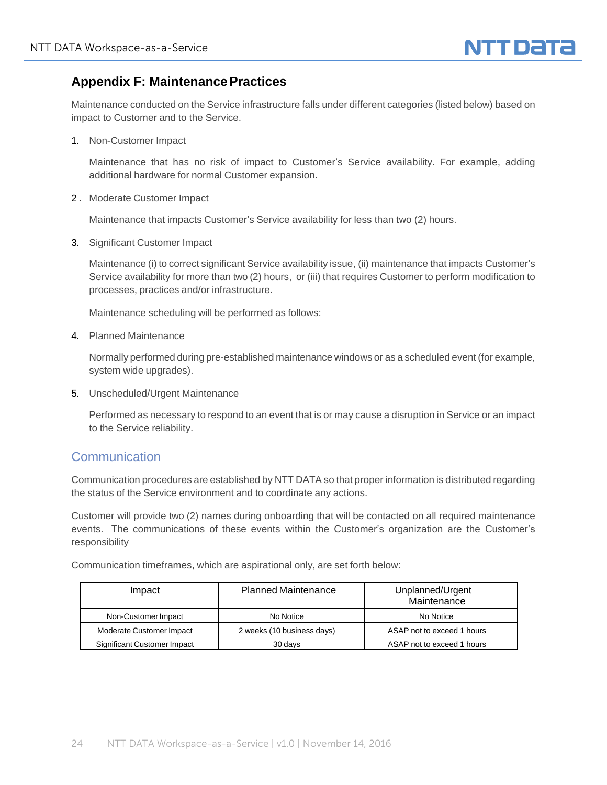

# **Appendix F: MaintenancePractices**

Maintenance conducted on the Service infrastructure falls under different categories (listed below) based on impact to Customer and to the Service.

1. Non-Customer Impact

Maintenance that has no risk of impact to Customer's Service availability. For example, adding additional hardware for normal Customer expansion.

2 . Moderate Customer Impact

Maintenance that impacts Customer's Service availability for less than two (2) hours.

3. Significant Customer Impact

Maintenance (i) to correct significant Service availability issue, (ii) maintenance that impacts Customer's Service availability for more than two (2) hours, or (iii) that requires Customer to perform modification to processes, practices and/or infrastructure.

Maintenance scheduling will be performed as follows:

4. Planned Maintenance

Normally performed during pre-established maintenance windows or as a scheduled event (for example, system wide upgrades).

5. Unscheduled/Urgent Maintenance

Performed as necessary to respond to an event that is or may cause a disruption in Service or an impact to the Service reliability.

#### **Communication**

Communication procedures are established by NTT DATA so that proper information is distributed regarding the status of the Service environment and to coordinate any actions.

Customer will provide two (2) names during onboarding that will be contacted on all required maintenance events. The communications of these events within the Customer's organization are the Customer's responsibility

Communication timeframes, which are aspirational only, are set forth below:

| Impact                      | <b>Planned Maintenance</b> | Unplanned/Urgent<br>Maintenance |
|-----------------------------|----------------------------|---------------------------------|
| Non-Customer Impact         | No Notice                  | No Notice                       |
| Moderate Customer Impact    | 2 weeks (10 business days) | ASAP not to exceed 1 hours      |
| Significant Customer Impact | 30 days                    | ASAP not to exceed 1 hours      |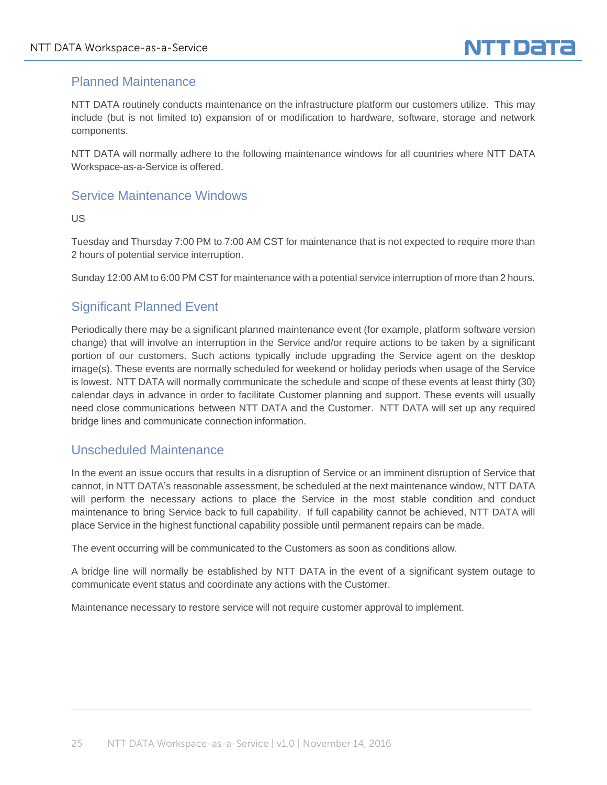

### Planned Maintenance

NTT DATA routinely conducts maintenance on the infrastructure platform our customers utilize. This may include (but is not limited to) expansion of or modification to hardware, software, storage and network components.

NTT DATA will normally adhere to the following maintenance windows for all countries where NTT DATA Workspace-as-a-Service is offered.

### Service Maintenance Windows

US

Tuesday and Thursday 7:00 PM to 7:00 AM CST for maintenance that is not expected to require more than 2 hours of potential service interruption.

Sunday 12:00 AM to 6:00 PM CST for maintenance with a potential service interruption of more than 2 hours.

## Significant Planned Event

Periodically there may be a significant planned maintenance event (for example, platform software version change) that will involve an interruption in the Service and/or require actions to be taken by a significant portion of our customers. Such actions typically include upgrading the Service agent on the desktop image(s). These events are normally scheduled for weekend or holiday periods when usage of the Service is lowest. NTT DATA will normally communicate the schedule and scope of these events at least thirty (30) calendar days in advance in order to facilitate Customer planning and support. These events will usually need close communications between NTT DATA and the Customer. NTT DATA will set up any required bridge lines and communicate connection information.

#### Unscheduled Maintenance

In the event an issue occurs that results in a disruption of Service or an imminent disruption of Service that cannot, in NTT DATA's reasonable assessment, be scheduled at the next maintenance window, NTT DATA will perform the necessary actions to place the Service in the most stable condition and conduct maintenance to bring Service back to full capability. If full capability cannot be achieved, NTT DATA will place Service in the highest functional capability possible until permanent repairs can be made.

The event occurring will be communicated to the Customers as soon as conditions allow.

A bridge line will normally be established by NTT DATA in the event of a significant system outage to communicate event status and coordinate any actions with the Customer.

Maintenance necessary to restore service will not require customer approval to implement.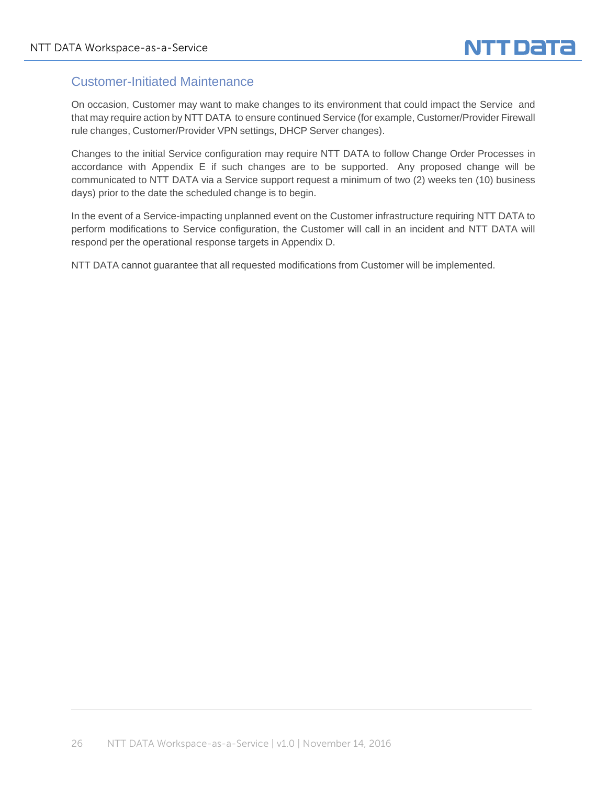### Customer-Initiated Maintenance

On occasion, Customer may want to make changes to its environment that could impact the Service and that may require action by NTT DATA to ensure continued Service (for example, Customer/Provider Firewall rule changes, Customer/Provider VPN settings, DHCP Server changes).

Changes to the initial Service configuration may require NTT DATA to follow Change Order Processes in accordance with Appendix E if such changes are to be supported. Any proposed change will be communicated to NTT DATA via a Service support request a minimum of two (2) weeks ten (10) business days) prior to the date the scheduled change is to begin.

In the event of a Service-impacting unplanned event on the Customer infrastructure requiring NTT DATA to perform modifications to Service configuration, the Customer will call in an incident and NTT DATA will respond per the operational response targets in Appendix D.

NTT DATA cannot guarantee that all requested modifications from Customer will be implemented.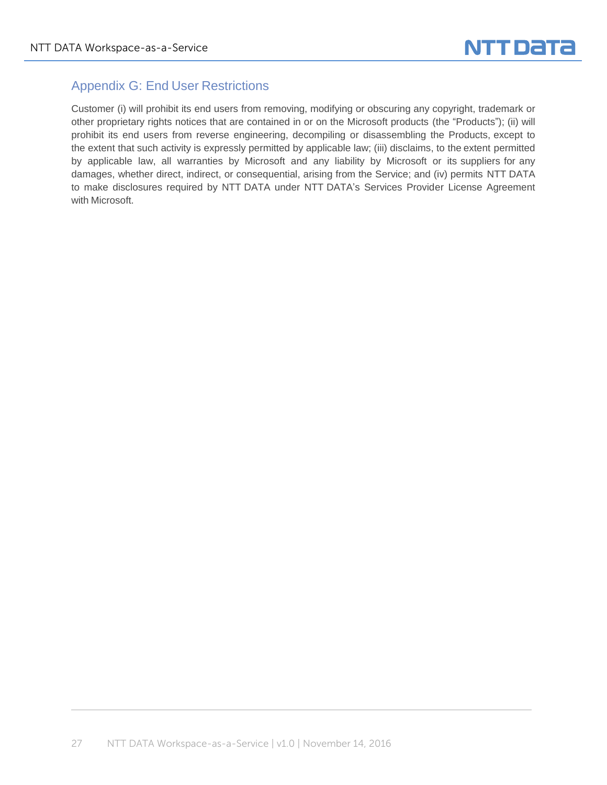

# Appendix G: End User Restrictions

Customer (i) will prohibit its end users from removing, modifying or obscuring any copyright, trademark or other proprietary rights notices that are contained in or on the Microsoft products (the "Products"); (ii) will prohibit its end users from reverse engineering, decompiling or disassembling the Products, except to the extent that such activity is expressly permitted by applicable law; (iii) disclaims, to the extent permitted by applicable law, all warranties by Microsoft and any liability by Microsoft or its suppliers for any damages, whether direct, indirect, or consequential, arising from the Service; and (iv) permits NTT DATA to make disclosures required by NTT DATA under NTT DATA's Services Provider License Agreement with Microsoft.